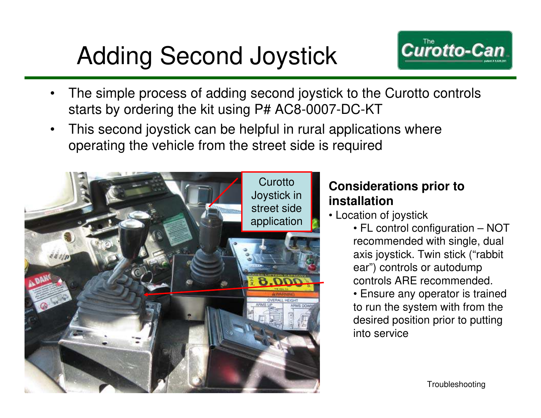## Adding Second Joystick



- The simple process of adding second joystick to the Curotto controls starts by ordering the kit using P# AC8-0007-DC-KT
- This second joystick can be helpful in rural applications where operating the vehicle from the street side is required



## **Considerations prior to installation**

- Location of joystick
	- FL control configuration NOT recommended with single, dual axis joystick. Twin stick ("rabbit ear") controls or autodump controls ARE recommended.
	- Ensure any operator is trained to run the system with from the desired position prior to putting into service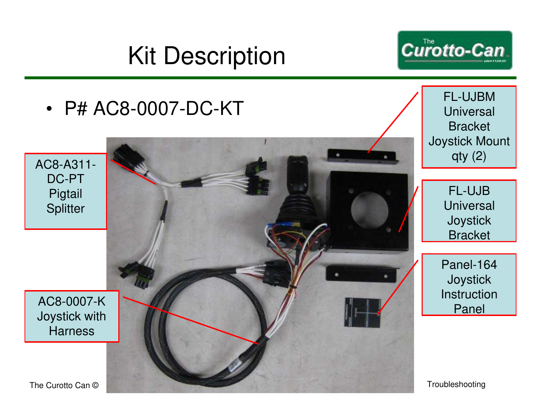## Kit Description







FL-UJBM **Universal** Bracket Joystick Mount  $qty(2)$ 

> FL-UJB **Universal Joystick Bracket**

Panel-164 **Joystick** Instruction Panel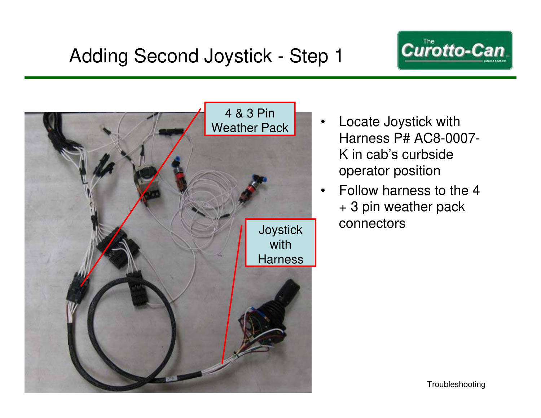



- Locate Joystick with Harness P# AC8-0007- K in cab's curbside operator position
- Follow harness to the 4 + 3 pin weather pack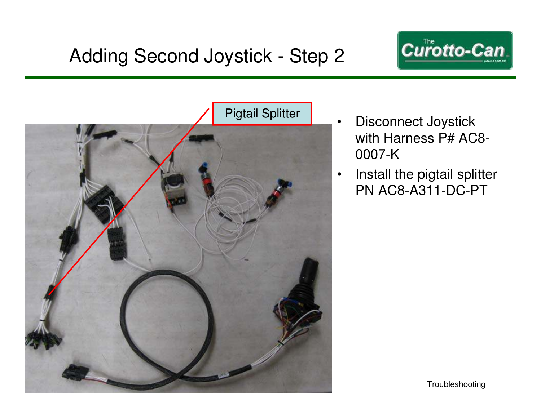



- Disconnect Joystick with Harness P# AC8- 0007-K
- Install the pigtail splitter PN AC8-A311-DC-PT

Troubleshooting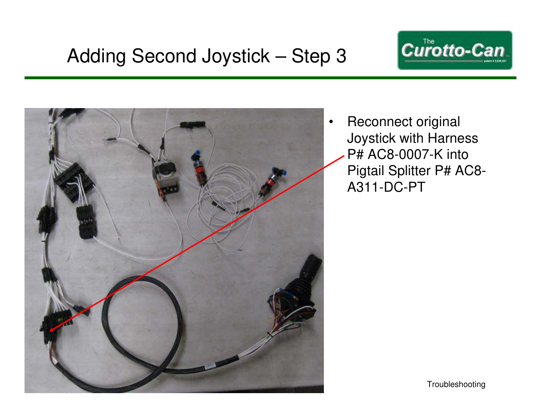



• Reconnect original Joystick with Harness P# AC8-0007-K into Pigtail Splitter P# AC8- A311-DC-PT

Troubleshooting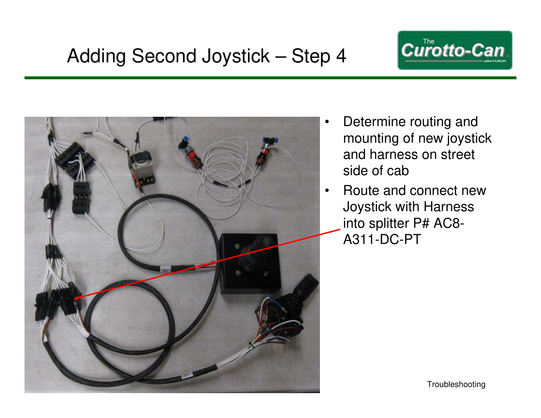



- Determine routing and mounting of new joystick and harness on street side of cab
- Route and connect new Joystick with Harness into splitter P# AC8- A311-DC-PT

Troubleshooting